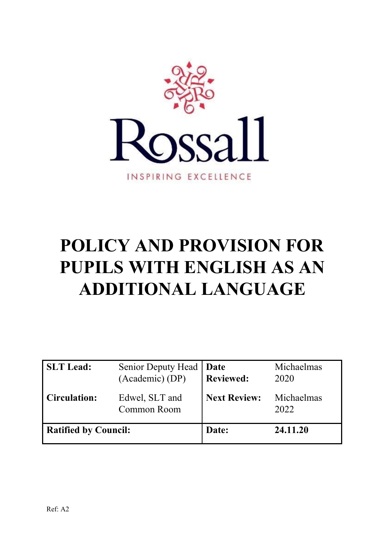

# **POLICY AND PROVISION FOR PUPILS WITH ENGLISH AS AN ADDITIONAL LANGUAGE**

| <b>SLT</b> Lead:            | <b>Senior Deputy Head</b><br>(Academic) (DP) | Date<br><b>Reviewed:</b> | Michaelmas<br>2020 |
|-----------------------------|----------------------------------------------|--------------------------|--------------------|
| <b>Circulation:</b>         | Edwel, SLT and<br>Common Room                | <b>Next Review:</b>      | Michaelmas<br>2022 |
| <b>Ratified by Council:</b> |                                              | Date:                    | 24.11.20           |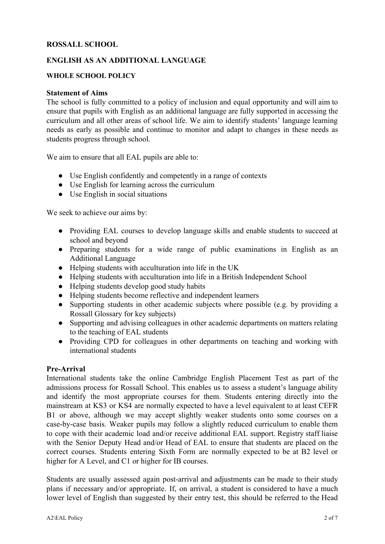# **ROSSALL SCHOOL**

# **ENGLISH AS AN ADDITIONAL LANGUAGE**

#### **WHOLE SCHOOL POLICY**

#### **Statement of Aims**

The school is fully committed to a policy of inclusion and equal opportunity and will aim to ensure that pupils with English as an additional language are fully supported in accessing the curriculum and all other areas of school life. We aim to identify students' language learning needs as early as possible and continue to monitor and adapt to changes in these needs as students progress through school.

We aim to ensure that all EAL pupils are able to:

- Use English confidently and competently in a range of contexts
- Use English for learning across the curriculum
- Use English in social situations

We seek to achieve our aims by:

- Providing EAL courses to develop language skills and enable students to succeed at school and beyond
- Preparing students for a wide range of public examinations in English as an Additional Language
- Helping students with acculturation into life in the UK
- Helping students with acculturation into life in a British Independent School
- Helping students develop good study habits
- Helping students become reflective and independent learners
- Supporting students in other academic subjects where possible (e.g. by providing a Rossall Glossary for key subjects)
- Supporting and advising colleagues in other academic departments on matters relating to the teaching of EAL students
- Providing CPD for colleagues in other departments on teaching and working with international students

#### **Pre-Arrival**

International students take the online Cambridge English Placement Test as part of the admissions process for Rossall School. This enables us to assess a student's language ability and identify the most appropriate courses for them. Students entering directly into the mainstream at KS3 or KS4 are normally expected to have a level equivalent to at least CEFR B1 or above, although we may accept slightly weaker students onto some courses on a case-by-case basis. Weaker pupils may follow a slightly reduced curriculum to enable them to cope with their academic load and/or receive additional EAL support. Registry staff liaise with the Senior Deputy Head and/or Head of EAL to ensure that students are placed on the correct courses. Students entering Sixth Form are normally expected to be at B2 level or higher for A Level, and C1 or higher for IB courses.

Students are usually assessed again post-arrival and adjustments can be made to their study plans if necessary and/or appropriate. If, on arrival, a student is considered to have a much lower level of English than suggested by their entry test, this should be referred to the Head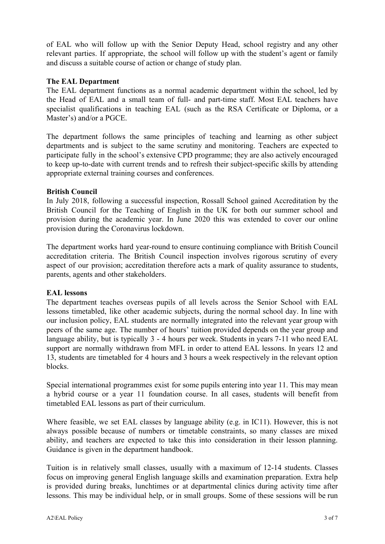of EAL who will follow up with the Senior Deputy Head, school registry and any other relevant parties. If appropriate, the school will follow up with the student's agent or family and discuss a suitable course of action or change of study plan.

# **The EAL Department**

The EAL department functions as a normal academic department within the school, led by the Head of EAL and a small team of full- and part-time staff. Most EAL teachers have specialist qualifications in teaching EAL (such as the RSA Certificate or Diploma, or a Master's) and/or a PGCE.

The department follows the same principles of teaching and learning as other subject departments and is subject to the same scrutiny and monitoring. Teachers are expected to participate fully in the school's extensive CPD programme; they are also actively encouraged to keep up-to-date with current trends and to refresh their subject-specific skills by attending appropriate external training courses and conferences.

# **British Council**

In July 2018, following a successful inspection, Rossall School gained Accreditation by the British Council for the Teaching of English in the UK for both our summer school and provision during the academic year. In June 2020 this was extended to cover our online provision during the Coronavirus lockdown.

The department works hard year-round to ensure continuing compliance with British Council accreditation criteria. The British Council inspection involves rigorous scrutiny of every aspect of our provision; accreditation therefore acts a mark of quality assurance to students, parents, agents and other stakeholders.

# **EAL lessons**

The department teaches overseas pupils of all levels across the Senior School with EAL lessons timetabled, like other academic subjects, during the normal school day. In line with our inclusion policy, EAL students are normally integrated into the relevant year group with peers of the same age. The number of hours' tuition provided depends on the year group and language ability, but is typically 3 - 4 hours per week. Students in years 7-11 who need EAL support are normally withdrawn from MFL in order to attend EAL lessons. In years 12 and 13, students are timetabled for 4 hours and 3 hours a week respectively in the relevant option blocks.

Special international programmes exist for some pupils entering into year 11. This may mean a hybrid course or a year 11 foundation course. In all cases, students will benefit from timetabled EAL lessons as part of their curriculum.

Where feasible, we set EAL classes by language ability (e.g. in IC11). However, this is not always possible because of numbers or timetable constraints, so many classes are mixed ability, and teachers are expected to take this into consideration in their lesson planning. Guidance is given in the department handbook.

Tuition is in relatively small classes, usually with a maximum of 12-14 students. Classes focus on improving general English language skills and examination preparation. Extra help is provided during breaks, lunchtimes or at departmental clinics during activity time after lessons. This may be individual help, or in small groups. Some of these sessions will be run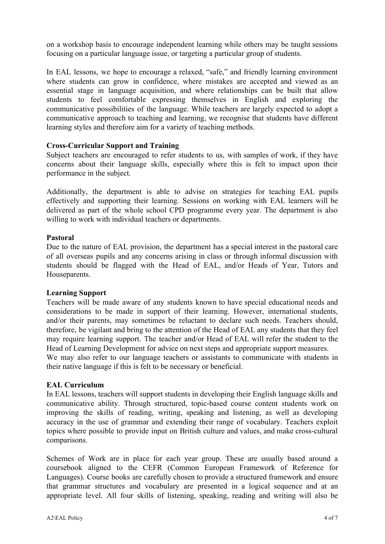on a workshop basis to encourage independent learning while others may be taught sessions focusing on a particular language issue, or targeting a particular group of students.

In EAL lessons, we hope to encourage a relaxed, "safe," and friendly learning environment where students can grow in confidence, where mistakes are accepted and viewed as an essential stage in language acquisition, and where relationships can be built that allow students to feel comfortable expressing themselves in English and exploring the communicative possibilities of the language. While teachers are largely expected to adopt a communicative approach to teaching and learning, we recognise that students have different learning styles and therefore aim for a variety of teaching methods.

# **Cross-Curricular Support and Training**

Subject teachers are encouraged to refer students to us, with samples of work, if they have concerns about their language skills, especially where this is felt to impact upon their performance in the subject.

Additionally, the department is able to advise on strategies for teaching EAL pupils effectively and supporting their learning. Sessions on working with EAL learners will be delivered as part of the whole school CPD programme every year. The department is also willing to work with individual teachers or departments.

#### **Pastoral**

Due to the nature of EAL provision, the department has a special interest in the pastoral care of all overseas pupils and any concerns arising in class or through informal discussion with students should be flagged with the Head of EAL, and/or Heads of Year, Tutors and Houseparents.

#### **Learning Support**

Teachers will be made aware of any students known to have special educational needs and considerations to be made in support of their learning. However, international students, and/or their parents, may sometimes be reluctant to declare such needs. Teachers should, therefore, be vigilant and bring to the attention of the Head of EAL any students that they feel may require learning support. The teacher and/or Head of EAL will refer the student to the Head of Learning Development for advice on next steps and appropriate support measures. We may also refer to our language teachers or assistants to communicate with students in their native language if this is felt to be necessary or beneficial.

#### **EAL Curriculum**

In EAL lessons, teachers will support students in developing their English language skills and communicative ability. Through structured, topic-based course content students work on improving the skills of reading, writing, speaking and listening, as well as developing accuracy in the use of grammar and extending their range of vocabulary. Teachers exploit topics where possible to provide input on British culture and values, and make cross-cultural comparisons.

Schemes of Work are in place for each year group. These are usually based around a coursebook aligned to the CEFR (Common European Framework of Reference for Languages). Course books are carefully chosen to provide a structured framework and ensure that grammar structures and vocabulary are presented in a logical sequence and at an appropriate level. All four skills of listening, speaking, reading and writing will also be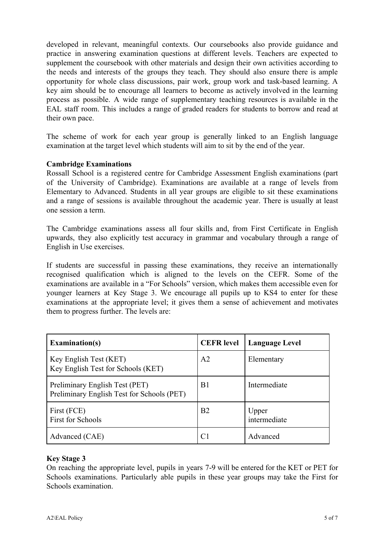developed in relevant, meaningful contexts. Our coursebooks also provide guidance and practice in answering examination questions at different levels. Teachers are expected to supplement the coursebook with other materials and design their own activities according to the needs and interests of the groups they teach. They should also ensure there is ample opportunity for whole class discussions, pair work, group work and task-based learning. A key aim should be to encourage all learners to become as actively involved in the learning process as possible. A wide range of supplementary teaching resources is available in the EAL staff room. This includes a range of graded readers for students to borrow and read at their own pace.

The scheme of work for each year group is generally linked to an English language examination at the target level which students will aim to sit by the end of the year.

# **Cambridge Examinations**

Rossall School is a registered centre for Cambridge Assessment English examinations (part of the University of Cambridge). Examinations are available at a range of levels from Elementary to Advanced. Students in all year groups are eligible to sit these examinations and a range of sessions is available throughout the academic year. There is usually at least one session a term.

The Cambridge examinations assess all four skills and, from First Certificate in English upwards, they also explicitly test accuracy in grammar and vocabulary through a range of English in Use exercises.

If students are successful in passing these examinations, they receive an internationally recognised qualification which is aligned to the levels on the CEFR. Some of the examinations are available in a "For Schools" version, which makes them accessible even for younger learners at Key Stage 3. We encourage all pupils up to KS4 to enter for these examinations at the appropriate level; it gives them a sense of achievement and motivates them to progress further. The levels are:

| <b>Examination(s)</b>                                                        | <b>CEFR</b> level | <b>Language Level</b> |
|------------------------------------------------------------------------------|-------------------|-----------------------|
| Key English Test (KET)<br>Key English Test for Schools (KET)                 | A <sub>2</sub>    | Elementary            |
| Preliminary English Test (PET)<br>Preliminary English Test for Schools (PET) | B1                | Intermediate          |
| First (FCE)<br><b>First for Schools</b>                                      | B <sub>2</sub>    | Upper<br>intermediate |
| Advanced (CAE)                                                               | C1                | Advanced              |

# **Key Stage 3**

On reaching the appropriate level, pupils in years 7-9 will be entered for the KET or PET for Schools examinations. Particularly able pupils in these year groups may take the First for Schools examination.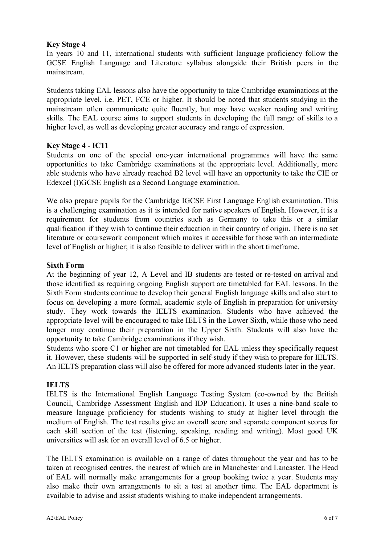# **Key Stage 4**

In years 10 and 11, international students with sufficient language proficiency follow the GCSE English Language and Literature syllabus alongside their British peers in the mainstream.

Students taking EAL lessons also have the opportunity to take Cambridge examinations at the appropriate level, i.e. PET, FCE or higher. It should be noted that students studying in the mainstream often communicate quite fluently, but may have weaker reading and writing skills. The EAL course aims to support students in developing the full range of skills to a higher level, as well as developing greater accuracy and range of expression.

# **Key Stage 4 - IC11**

Students on one of the special one-year international programmes will have the same opportunities to take Cambridge examinations at the appropriate level. Additionally, more able students who have already reached B2 level will have an opportunity to take the CIE or Edexcel (I)GCSE English as a Second Language examination.

We also prepare pupils for the Cambridge IGCSE First Language English examination. This is a challenging examination as it is intended for native speakers of English. However, it is a requirement for students from countries such as Germany to take this or a similar qualification if they wish to continue their education in their country of origin. There is no set literature or coursework component which makes it accessible for those with an intermediate level of English or higher; it is also feasible to deliver within the short timeframe.

# **Sixth Form**

At the beginning of year 12, A Level and IB students are tested or re-tested on arrival and those identified as requiring ongoing English support are timetabled for EAL lessons. In the Sixth Form students continue to develop their general English language skills and also start to focus on developing a more formal, academic style of English in preparation for university study. They work towards the IELTS examination. Students who have achieved the appropriate level will be encouraged to take IELTS in the Lower Sixth, while those who need longer may continue their preparation in the Upper Sixth. Students will also have the opportunity to take Cambridge examinations if they wish.

Students who score C1 or higher are not timetabled for EAL unless they specifically request it. However, these students will be supported in self-study if they wish to prepare for IELTS. An IELTS preparation class will also be offered for more advanced students later in the year.

# **IELTS**

IELTS is the International English Language Testing System (co-owned by the British Council, Cambridge Assessment English and IDP Education). It uses a nine-band scale to measure language proficiency for students wishing to study at higher level through the medium of English. The test results give an overall score and separate component scores for each skill section of the test (listening, speaking, reading and writing). Most good UK universities will ask for an overall level of 6.5 or higher.

The IELTS examination is available on a range of dates throughout the year and has to be taken at recognised centres, the nearest of which are in Manchester and Lancaster. The Head of EAL will normally make arrangements for a group booking twice a year. Students may also make their own arrangements to sit a test at another time. The EAL department is available to advise and assist students wishing to make independent arrangements.